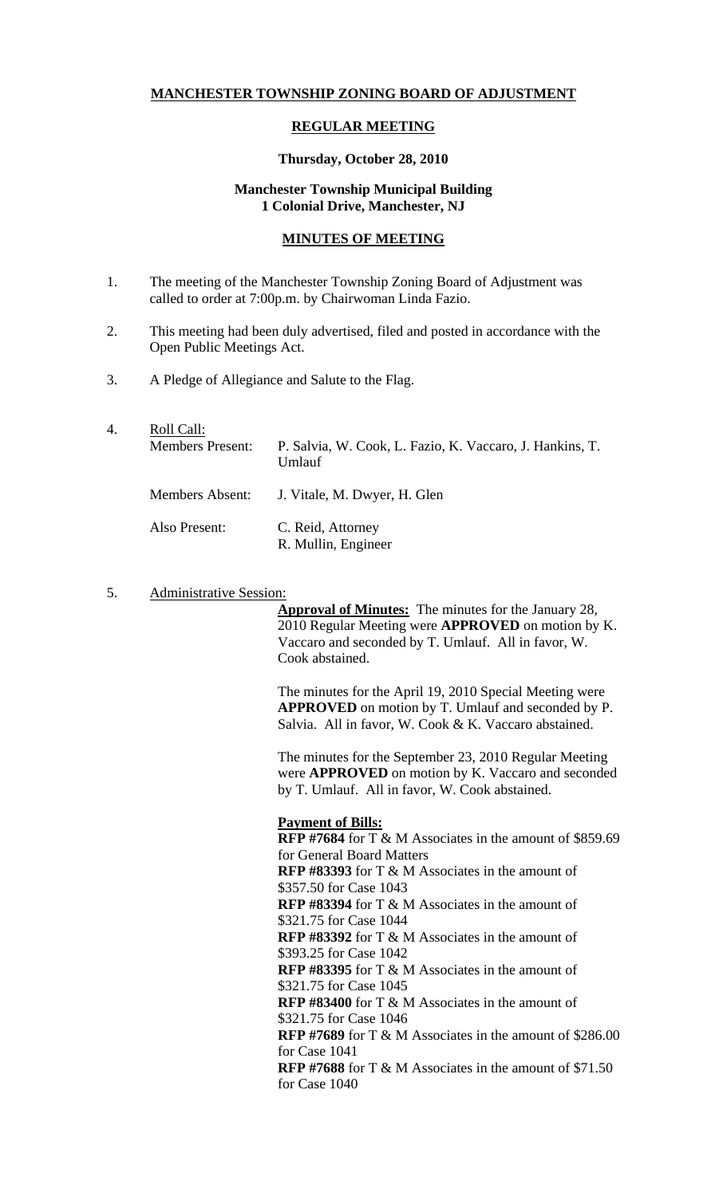# **MANCHESTER TOWNSHIP ZONING BOARD OF ADJUSTMENT**

### **REGULAR MEETING**

#### **Thursday, October 28, 2010**

## **Manchester Township Municipal Building 1 Colonial Drive, Manchester, NJ**

### **MINUTES OF MEETING**

- 1. The meeting of the Manchester Township Zoning Board of Adjustment was called to order at 7:00p.m. by Chairwoman Linda Fazio.
- 2. This meeting had been duly advertised, filed and posted in accordance with the Open Public Meetings Act.
- 3. A Pledge of Allegiance and Salute to the Flag.

| 4. | Roll Call:<br><b>Members Present:</b> | P. Salvia, W. Cook, L. Fazio, K. Vaccaro, J. Hankins, T.<br>Umlauf |
|----|---------------------------------------|--------------------------------------------------------------------|
|    | Members Absent:                       | J. Vitale, M. Dwyer, H. Glen                                       |
|    | Also Present:                         | C. Reid, Attorney<br>R. Mullin, Engineer                           |

#### 5. Administrative Session:

**Approval of Minutes:** The minutes for the January 28, 2010 Regular Meeting were **APPROVED** on motion by K. Vaccaro and seconded by T. Umlauf. All in favor, W. Cook abstained.

The minutes for the April 19, 2010 Special Meeting were **APPROVED** on motion by T. Umlauf and seconded by P. Salvia. All in favor, W. Cook & K. Vaccaro abstained.

The minutes for the September 23, 2010 Regular Meeting were **APPROVED** on motion by K. Vaccaro and seconded by T. Umlauf. All in favor, W. Cook abstained.

#### **Payment of Bills:**

**RFP #7684** for T & M Associates in the amount of \$859.69 for General Board Matters **RFP #83393** for T & M Associates in the amount of \$357.50 for Case 1043 **RFP #83394** for T & M Associates in the amount of \$321.75 for Case 1044 **RFP #83392** for T & M Associates in the amount of \$393.25 for Case 1042 **RFP #83395** for T & M Associates in the amount of \$321.75 for Case 1045 **RFP #83400** for T & M Associates in the amount of \$321.75 for Case 1046 **RFP #7689** for T & M Associates in the amount of \$286.00 for Case 1041 **RFP #7688** for T & M Associates in the amount of \$71.50 for Case 1040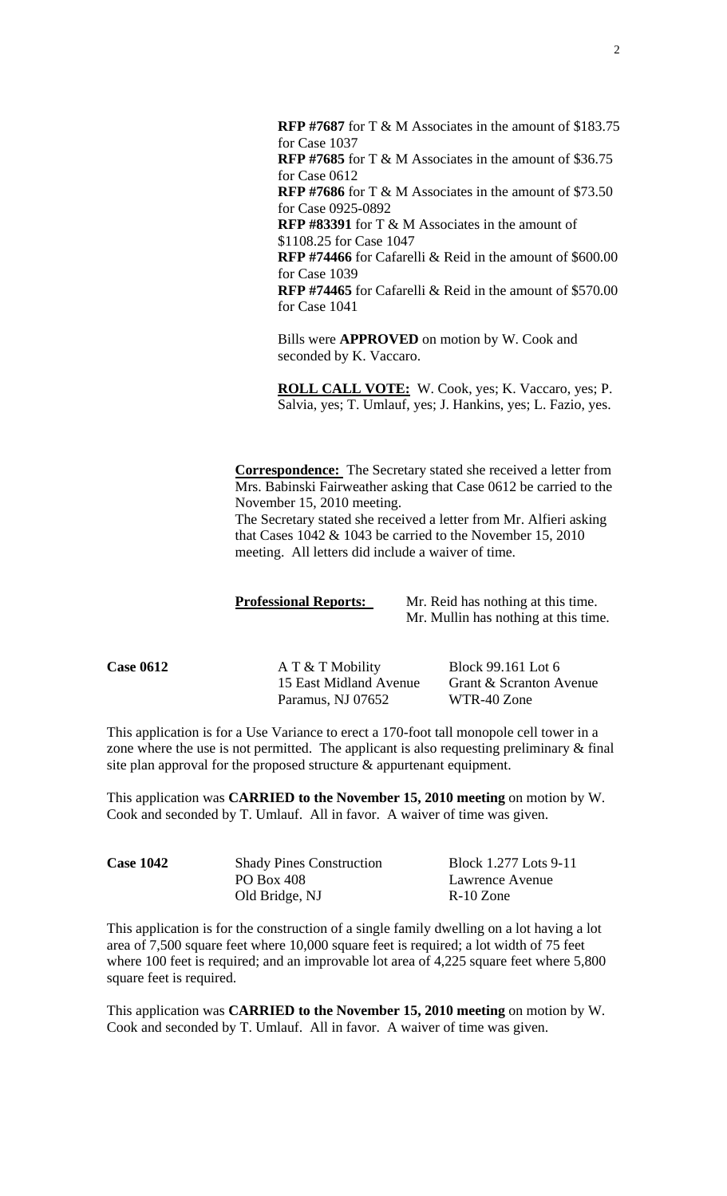**RFP #7687** for T & M Associates in the amount of \$183.75 for Case 1037 **RFP #7685** for T & M Associates in the amount of \$36.75 for Case 0612 **RFP #7686** for T & M Associates in the amount of \$73.50 for Case 0925-0892 **RFP #83391** for T & M Associates in the amount of \$1108.25 for Case 1047 **RFP #74466** for Cafarelli & Reid in the amount of \$600.00 for Case 1039

**RFP #74465** for Cafarelli & Reid in the amount of \$570.00 for Case 1041

Bills were **APPROVED** on motion by W. Cook and seconded by K. Vaccaro.

**ROLL CALL VOTE:** W. Cook, yes; K. Vaccaro, yes; P. Salvia, yes; T. Umlauf, yes; J. Hankins, yes; L. Fazio, yes.

**Correspondence:** The Secretary stated she received a letter from Mrs. Babinski Fairweather asking that Case 0612 be carried to the November 15, 2010 meeting.

The Secretary stated she received a letter from Mr. Alfieri asking that Cases  $1042 \& 1043$  be carried to the November 15, 2010 meeting. All letters did include a waiver of time.

**Professional Reports:** Mr. Reid has nothing at this time. Mr. Mullin has nothing at this time.

**Case 0612 A T & T Mobility Block 99.161 Lot 6** Paramus, NJ 07652 WTR-40 Zone

15 East Midland Avenue Grant & Scranton Avenue

This application is for a Use Variance to erect a 170-foot tall monopole cell tower in a zone where the use is not permitted. The applicant is also requesting preliminary & final site plan approval for the proposed structure & appurtenant equipment.

This application was **CARRIED to the November 15, 2010 meeting** on motion by W. Cook and seconded by T. Umlauf. All in favor. A waiver of time was given.

| <b>Case 1042</b> | <b>Shady Pines Construction</b> | Block 1.277 Lots 9-11 |
|------------------|---------------------------------|-----------------------|
|                  | PO Box 408                      | Lawrence Avenue       |
|                  | Old Bridge, NJ                  | $R-10$ Zone           |

This application is for the construction of a single family dwelling on a lot having a lot area of 7,500 square feet where 10,000 square feet is required; a lot width of 75 feet where 100 feet is required; and an improvable lot area of 4,225 square feet where 5,800 square feet is required.

This application was **CARRIED to the November 15, 2010 meeting** on motion by W. Cook and seconded by T. Umlauf. All in favor. A waiver of time was given.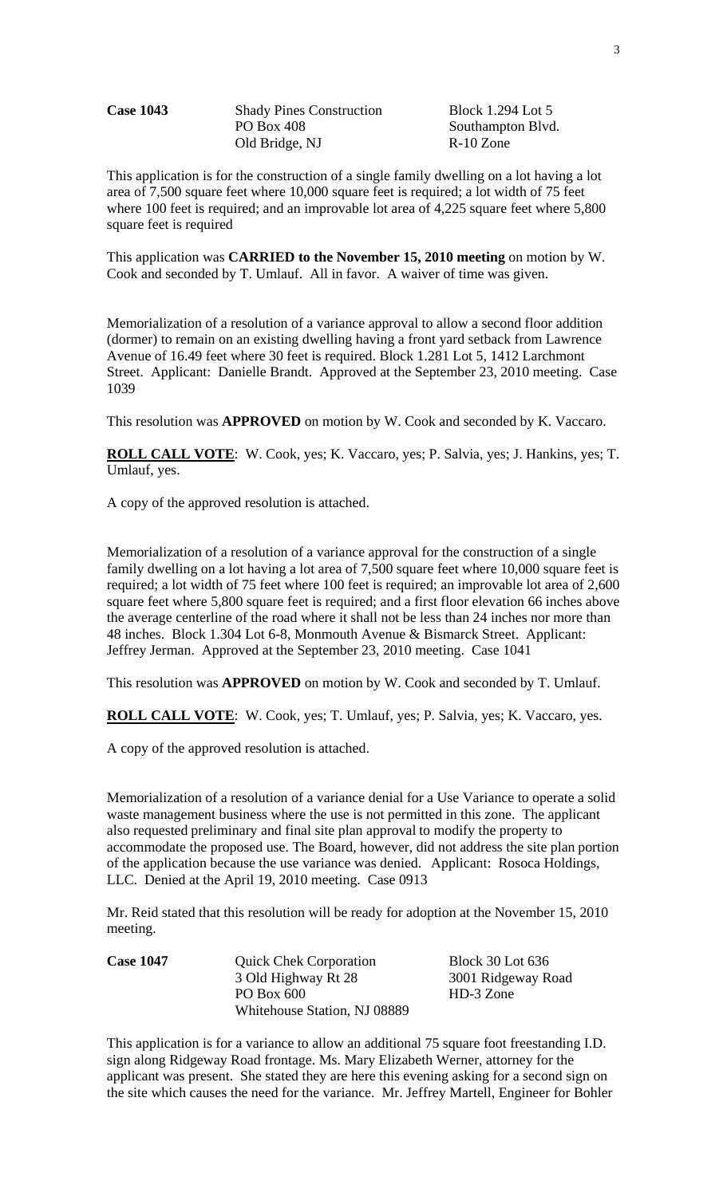Case 1043 Shady Pines Construction Block 1.294 Lot 5 PO Box 408 Southampton Blvd. Old Bridge, NJ R-10 Zone

This application is for the construction of a single family dwelling on a lot having a lot area of 7,500 square feet where 10,000 square feet is required; a lot width of 75 feet where 100 feet is required; and an improvable lot area of 4,225 square feet where 5,800 square feet is required

This application was **CARRIED to the November 15, 2010 meeting** on motion by W. Cook and seconded by T. Umlauf. All in favor. A waiver of time was given.

Memorialization of a resolution of a variance approval to allow a second floor addition (dormer) to remain on an existing dwelling having a front yard setback from Lawrence Avenue of 16.49 feet where 30 feet is required. Block 1.281 Lot 5, 1412 Larchmont Street. Applicant: Danielle Brandt. Approved at the September 23, 2010 meeting. Case 1039

This resolution was **APPROVED** on motion by W. Cook and seconded by K. Vaccaro.

**ROLL CALL VOTE**: W. Cook, yes; K. Vaccaro, yes; P. Salvia, yes; J. Hankins, yes; T. Umlauf, yes.

A copy of the approved resolution is attached.

Memorialization of a resolution of a variance approval for the construction of a single family dwelling on a lot having a lot area of 7,500 square feet where 10,000 square feet is required; a lot width of 75 feet where 100 feet is required; an improvable lot area of 2,600 square feet where 5,800 square feet is required; and a first floor elevation 66 inches above the average centerline of the road where it shall not be less than 24 inches nor more than 48 inches. Block 1.304 Lot 6-8, Monmouth Avenue & Bismarck Street. Applicant: Jeffrey Jerman. Approved at the September 23, 2010 meeting. Case 1041

This resolution was **APPROVED** on motion by W. Cook and seconded by T. Umlauf.

**ROLL CALL VOTE**: W. Cook, yes; T. Umlauf, yes; P. Salvia, yes; K. Vaccaro, yes.

A copy of the approved resolution is attached.

Memorialization of a resolution of a variance denial for a Use Variance to operate a solid waste management business where the use is not permitted in this zone. The applicant also requested preliminary and final site plan approval to modify the property to accommodate the proposed use. The Board, however, did not address the site plan portion of the application because the use variance was denied. Applicant: Rosoca Holdings, LLC. Denied at the April 19, 2010 meeting. Case 0913

Mr. Reid stated that this resolution will be ready for adoption at the November 15, 2010 meeting.

| <b>Case 1047</b> | <b>Quick Chek Corporation</b> | <b>Block 30 Lot 636</b> |
|------------------|-------------------------------|-------------------------|
|                  | 3 Old Highway Rt 28           | 3001 Ridgeway Road      |
|                  | PO Box 600                    | HD-3 Zone               |
|                  | Whitehouse Station, NJ 08889  |                         |

This application is for a variance to allow an additional 75 square foot freestanding I.D. sign along Ridgeway Road frontage. Ms. Mary Elizabeth Werner, attorney for the applicant was present. She stated they are here this evening asking for a second sign on the site which causes the need for the variance. Mr. Jeffrey Martell, Engineer for Bohler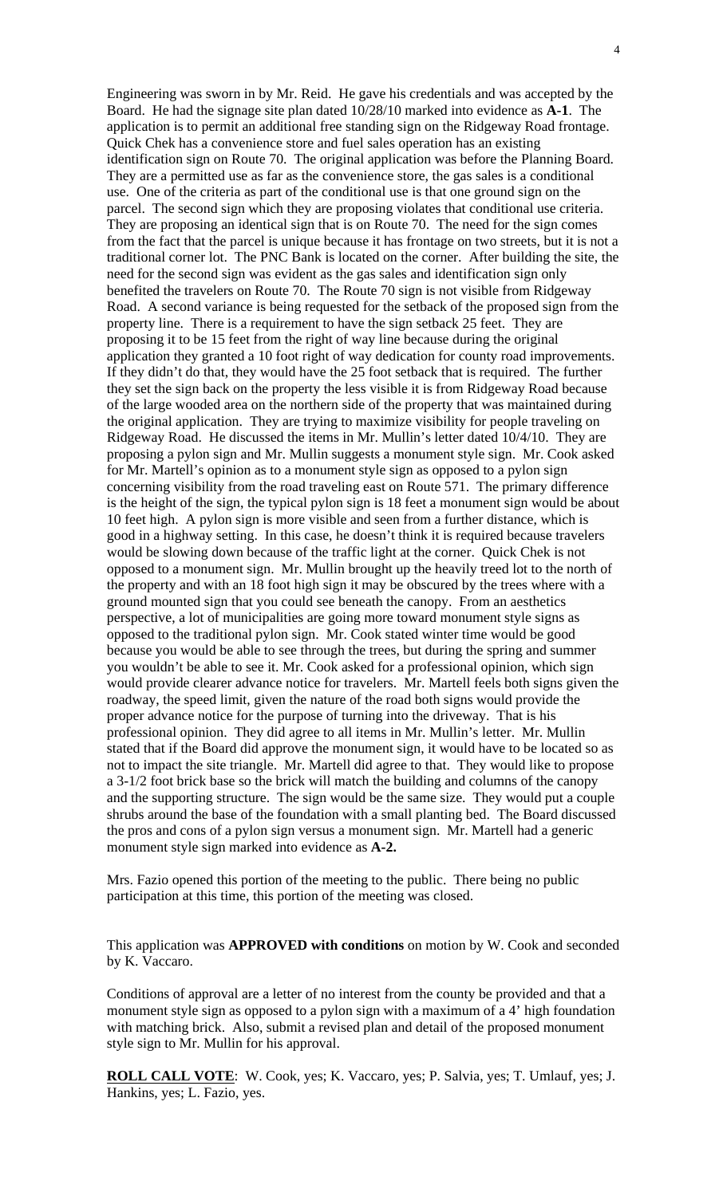Engineering was sworn in by Mr. Reid. He gave his credentials and was accepted by the Board. He had the signage site plan dated 10/28/10 marked into evidence as **A-1**. The application is to permit an additional free standing sign on the Ridgeway Road frontage. Quick Chek has a convenience store and fuel sales operation has an existing identification sign on Route 70. The original application was before the Planning Board. They are a permitted use as far as the convenience store, the gas sales is a conditional use. One of the criteria as part of the conditional use is that one ground sign on the parcel. The second sign which they are proposing violates that conditional use criteria. They are proposing an identical sign that is on Route 70. The need for the sign comes from the fact that the parcel is unique because it has frontage on two streets, but it is not a traditional corner lot. The PNC Bank is located on the corner. After building the site, the need for the second sign was evident as the gas sales and identification sign only benefited the travelers on Route 70. The Route 70 sign is not visible from Ridgeway Road. A second variance is being requested for the setback of the proposed sign from the property line. There is a requirement to have the sign setback 25 feet. They are proposing it to be 15 feet from the right of way line because during the original application they granted a 10 foot right of way dedication for county road improvements. If they didn't do that, they would have the 25 foot setback that is required. The further they set the sign back on the property the less visible it is from Ridgeway Road because of the large wooded area on the northern side of the property that was maintained during the original application. They are trying to maximize visibility for people traveling on Ridgeway Road. He discussed the items in Mr. Mullin's letter dated 10/4/10. They are proposing a pylon sign and Mr. Mullin suggests a monument style sign. Mr. Cook asked for Mr. Martell's opinion as to a monument style sign as opposed to a pylon sign concerning visibility from the road traveling east on Route 571. The primary difference is the height of the sign, the typical pylon sign is 18 feet a monument sign would be about 10 feet high. A pylon sign is more visible and seen from a further distance, which is good in a highway setting. In this case, he doesn't think it is required because travelers would be slowing down because of the traffic light at the corner. Quick Chek is not opposed to a monument sign. Mr. Mullin brought up the heavily treed lot to the north of the property and with an 18 foot high sign it may be obscured by the trees where with a ground mounted sign that you could see beneath the canopy. From an aesthetics perspective, a lot of municipalities are going more toward monument style signs as opposed to the traditional pylon sign. Mr. Cook stated winter time would be good because you would be able to see through the trees, but during the spring and summer you wouldn't be able to see it. Mr. Cook asked for a professional opinion, which sign would provide clearer advance notice for travelers. Mr. Martell feels both signs given the roadway, the speed limit, given the nature of the road both signs would provide the proper advance notice for the purpose of turning into the driveway. That is his professional opinion. They did agree to all items in Mr. Mullin's letter. Mr. Mullin stated that if the Board did approve the monument sign, it would have to be located so as not to impact the site triangle. Mr. Martell did agree to that. They would like to propose a 3-1/2 foot brick base so the brick will match the building and columns of the canopy and the supporting structure. The sign would be the same size. They would put a couple shrubs around the base of the foundation with a small planting bed. The Board discussed the pros and cons of a pylon sign versus a monument sign. Mr. Martell had a generic monument style sign marked into evidence as **A-2.** 

Mrs. Fazio opened this portion of the meeting to the public. There being no public participation at this time, this portion of the meeting was closed.

This application was **APPROVED with conditions** on motion by W. Cook and seconded by K. Vaccaro.

Conditions of approval are a letter of no interest from the county be provided and that a monument style sign as opposed to a pylon sign with a maximum of a 4' high foundation with matching brick. Also, submit a revised plan and detail of the proposed monument style sign to Mr. Mullin for his approval.

**ROLL CALL VOTE**: W. Cook, yes; K. Vaccaro, yes; P. Salvia, yes; T. Umlauf, yes; J. Hankins, yes; L. Fazio, yes.